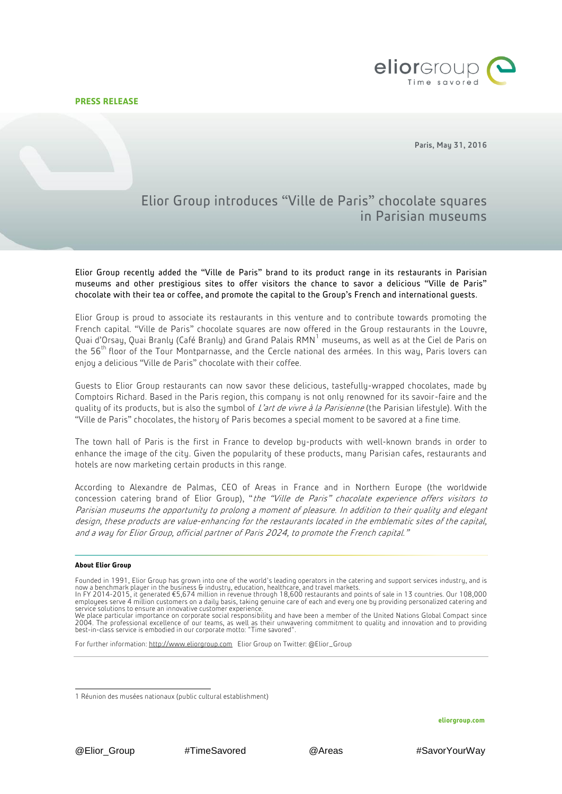**PRESS RELEASE**



Paris, May 31, 2016

## Elior Group introduces "Ville de Paris" chocolate squares in Parisian museums

Elior Group recently added the "Ville de Paris" brand to its product range in its restaurants in Parisian museums and other prestigious sites to offer visitors the chance to savor a delicious "Ville de Paris" chocolate with their tea or coffee, and promote the capital to the Group's French and international guests.

Elior Group is proud to associate its restaurants in this venture and to contribute towards promoting the French capital. "Ville de Paris" chocolate squares are now offered in the Group restaurants in the Louvre, Quai d'Orsay, Quai Branly (Café Branly) and Grand Palais  $RMN<sup>1</sup>$  museums, as well as at the Ciel de Paris on the  $56<sup>th</sup>$  floor of the Tour Montparnasse, and the Cercle national des armées. In this way, Paris lovers can enjoy a delicious "Ville de Paris" chocolate with their coffee.

Guests to Elior Group restaurants can now savor these delicious, tastefully-wrapped chocolates, made by Comptoirs Richard. Based in the Paris region, this company is not only renowned for its savoir-faire and the quality of its products, but is also the symbol of L'art de vivre à la Parisienne (the Parisian lifestyle). With the "Ville de Paris" chocolates, the history of Paris becomes a special moment to be savored at a fine time.

The town hall of Paris is the first in France to develop by-products with well-known brands in order to enhance the image of the city. Given the popularity of these products, many Parisian cafes, restaurants and hotels are now marketing certain products in this range.

According to Alexandre de Palmas, CEO of Areas in France and in Northern Europe (the worldwide concession catering brand of Elior Group), "the "Ville de Paris" chocolate experience offers visitors to Parisian museums the opportunity to prolong a moment of pleasure. In addition to their quality and elegant design, these products are value-enhancing for the restaurants located in the emblematic sites of the capital, and a way for Elior Group, official partner of Paris 2024, to promote the French capital."

## **About Elior Group**

Founded in 1991, Elior Group has grown into one of the world's leading operators in the catering and support services industry, and is

For further information: [http://www.eliorgroup.com](http://www.eliorgroup.com/) Elior Group on Twitter: @Elior\_Group

now a benchmark player in the business & industry, education, healthcare, and travel markets.<br>In FY 2014-2015, it generated €5,674 million in revenue through 18,600 restaurants and points of sale in 13 countries. Our 108, service solutions to ensure an innovative customer experience.

We place particular importance on corporate social responsibility and have been a member of the United Nations Global Compact since 2004. The professional excellence of our teams, as well as their unwavering commitment to quality and innovation and to providing best-in-class service is embodied in our corporate motto: "Time savored".

<sup>1</sup> 1 Réunion des musées nationaux (public cultural establishment)